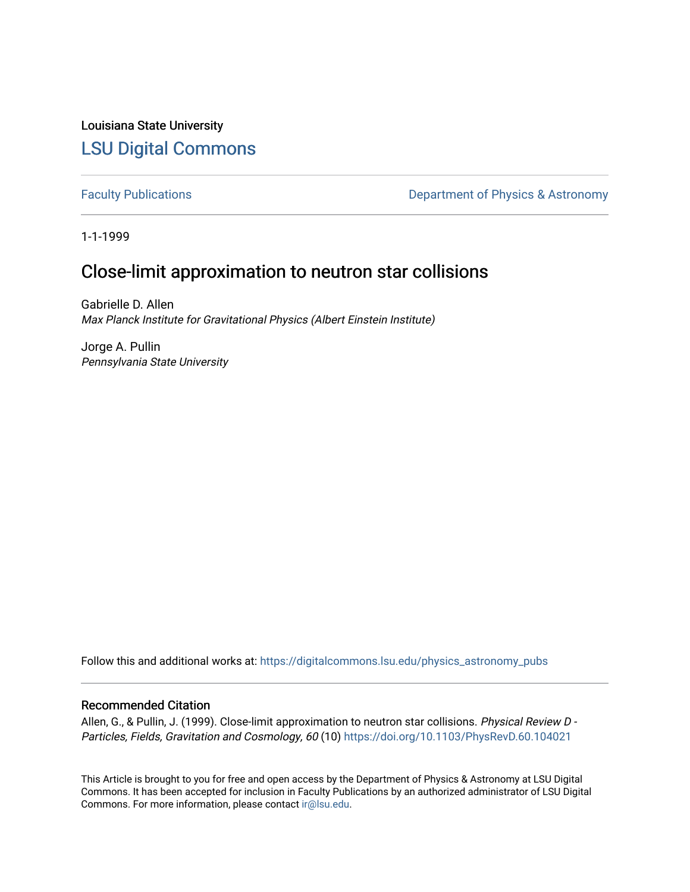Louisiana State University [LSU Digital Commons](https://digitalcommons.lsu.edu/)

[Faculty Publications](https://digitalcommons.lsu.edu/physics_astronomy_pubs) **Exercise 2 and Table 2 and Table 2 and Table 2 and Table 2 and Table 2 and Table 2 and Table 2 and Table 2 and Table 2 and Table 2 and Table 2 and Table 2 and Table 2 and Table 2 and Table 2 and Table** 

1-1-1999

# Close-limit approximation to neutron star collisions

Gabrielle D. Allen Max Planck Institute for Gravitational Physics (Albert Einstein Institute)

Jorge A. Pullin Pennsylvania State University

Follow this and additional works at: [https://digitalcommons.lsu.edu/physics\\_astronomy\\_pubs](https://digitalcommons.lsu.edu/physics_astronomy_pubs?utm_source=digitalcommons.lsu.edu%2Fphysics_astronomy_pubs%2F4417&utm_medium=PDF&utm_campaign=PDFCoverPages) 

# Recommended Citation

Allen, G., & Pullin, J. (1999). Close-limit approximation to neutron star collisions. Physical Review D -Particles, Fields, Gravitation and Cosmology, 60 (10)<https://doi.org/10.1103/PhysRevD.60.104021>

This Article is brought to you for free and open access by the Department of Physics & Astronomy at LSU Digital Commons. It has been accepted for inclusion in Faculty Publications by an authorized administrator of LSU Digital Commons. For more information, please contact [ir@lsu.edu](mailto:ir@lsu.edu).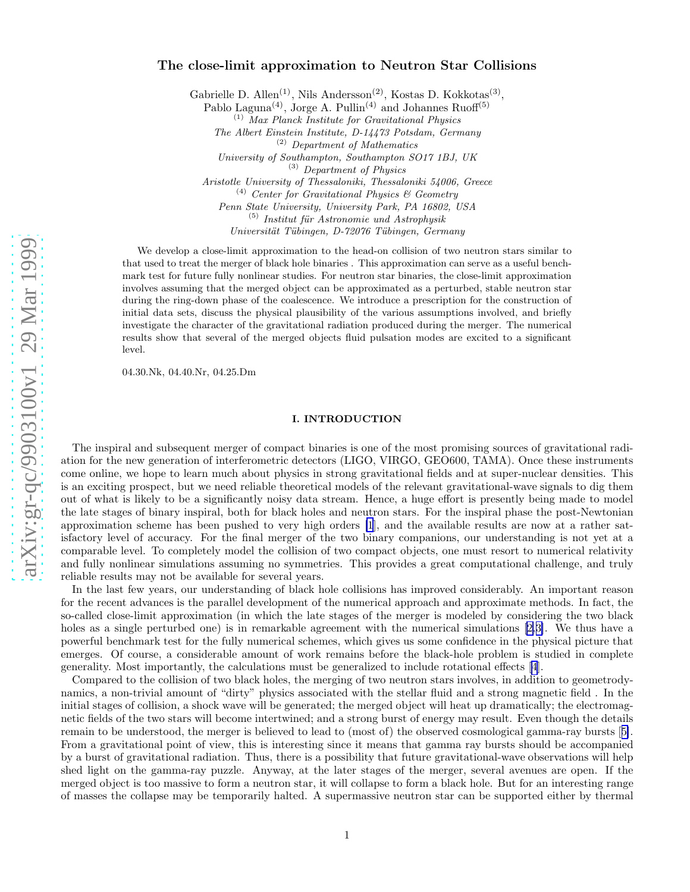## The close-limit approximation to Neutron Star Collisions

Gabrielle D. Allen<sup>(1)</sup>, Nils Andersson<sup>(2)</sup>, Kostas D. Kokkotas<sup>(3)</sup>,

Pablo Laguna<sup>(4)</sup>, Jorge A. Pullin<sup>(4)</sup> and Johannes Ruoff<sup>(5)</sup>  $(1)$  Max Planck Institute for Gravitational Physics The Albert Einstein Institute, D-14473 Potsdam, Germany (2) Department of Mathematics University of Southampton, Southampton SO17 1BJ, UK  $(3)$  Department of Physics Aristotle University of Thessaloniki, Thessaloniki 54006, Greece  $^{(4)}$  Center for Gravitational Physics & Geometry Penn State University, University Park, PA 16802, USA  $^{(5)}$  Institut für Astronomie und Astrophysik

Universität Tübingen, D-72076 Tübingen, Germany

We develop a close-limit approximation to the head-on collision of two neutron stars similar to that used to treat the merger of black hole binaries . This approximation can serve as a useful benchmark test for future fully nonlinear studies. For neutron star binaries, the close-limit approximation involves assuming that the merged object can be approximated as a perturbed, stable neutron star during the ring-down phase of the coalescence. We introduce a prescription for the construction of initial data sets, discuss the physical plausibility of the various assumptions involved, and briefly investigate the character of the gravitational radiation produced during the merger. The numerical results show that several of the merged objects fluid pulsation modes are excited to a significant level.

04.30.Nk, 04.40.Nr, 04.25.Dm

#### I. INTRODUCTION

The inspiral and subsequent merger of compact binaries is one of the most promising sources of gravitational radiation for the new generation of interferometric detectors (LIGO, VIRGO, GEO600, TAMA). Once these instruments come online, we hope to learn much about physics in strong gravitational fields and at super-nuclear densities. This is an exciting prospect, but we need reliable theoretical models of the relevant gravitational-wave signals to dig them out of what is likely to be a significantly noisy data stream. Hence, a huge effort is presently being made to model the late stages of binary inspiral, both for black holes and neutron stars. For the inspiral phase the post-Newtonian approximation scheme has been pushed to very high orders [\[1](#page-9-0)], and the available results are now at a rather satisfactory level of accuracy. For the final merger of the two binary companions, our understanding is not yet at a comparable level. To completely model the collision of two compact objects, one must resort to numerical relativity and fully nonlinear simulations assuming no symmetries. This provides a great computational challenge, and truly reliable results may not be available for several years.

In the last few years, our understanding of black hole collisions has improved considerably. An important reason for the recent advances is the parallel development of the numerical approach and approximate methods. In fact, the so-called close-limit approximation (in which the late stages of the merger is modeled by considering the two black holesas a single perturbed one) is in remarkable agreement with the numerical simulations [[2,3\]](#page-9-0). We thus have a powerful benchmark test for the fully numerical schemes, which gives us some confidence in the physical picture that emerges. Of course, a considerable amount of work remains before the black-hole problem is studied in complete generality. Most importantly, the calculations must be generalized to include rotational effects[[4\]](#page-9-0).

Compared to the collision of two black holes, the merging of two neutron stars involves, in addition to geometrodynamics, a non-trivial amount of "dirty" physics associated with the stellar fluid and a strong magnetic field . In the initial stages of collision, a shock wave will be generated; the merged object will heat up dramatically; the electromagnetic fields of the two stars will become intertwined; and a strong burst of energy may result. Even though the details remain to be understood, the merger is believed to lead to (most of) the observed cosmological gamma-ray bursts[[5\]](#page-9-0). From a gravitational point of view, this is interesting since it means that gamma ray bursts should be accompanied by a burst of gravitational radiation. Thus, there is a possibility that future gravitational-wave observations will help shed light on the gamma-ray puzzle. Anyway, at the later stages of the merger, several avenues are open. If the merged object is too massive to form a neutron star, it will collapse to form a black hole. But for an interesting range of masses the collapse may be temporarily halted. A supermassive neutron star can be supported either by thermal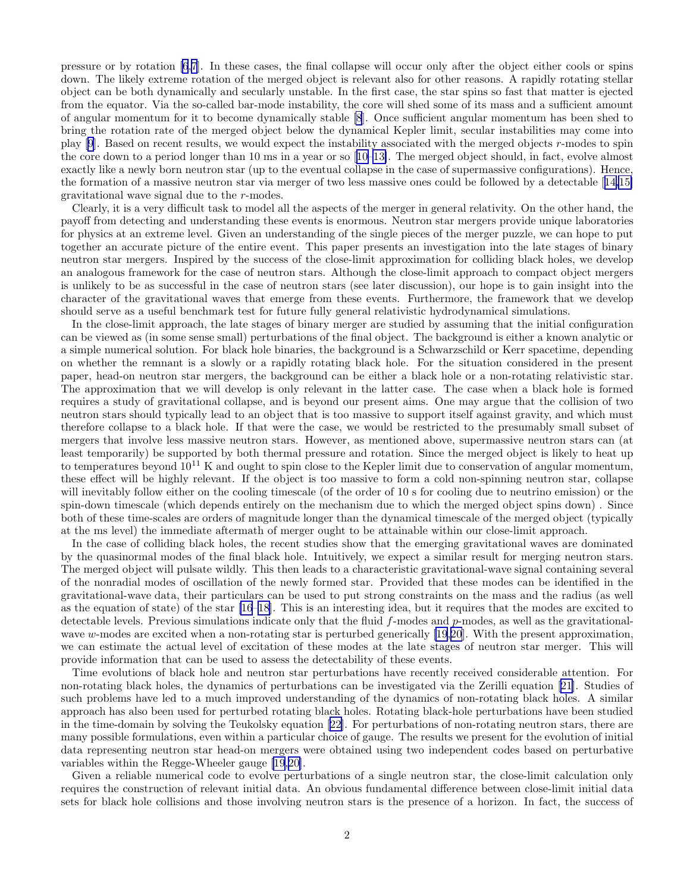pressure or by rotation [\[6](#page-9-0),[7\]](#page-9-0). In these cases, the final collapse will occur only after the object either cools or spins down. The likely extreme rotation of the merged object is relevant also for other reasons. A rapidly rotating stellar object can be both dynamically and secularly unstable. In the first case, the star spins so fast that matter is ejected from the equator. Via the so-called bar-mode instability, the core will shed some of its mass and a sufficient amount of angular momentum for it to become dynamically stable [\[8](#page-9-0)]. Once sufficient angular momentum has been shed to bring the rotation rate of the merged object below the dynamical Kepler limit, secular instabilities may come into play [\[9](#page-9-0)]. Based on recent results, we would expect the instability associated with the merged objects r-modes to spin the core down to a period longer than 10 ms in a year or so[[10–13\]](#page-9-0). The merged object should, in fact, evolve almost exactly like a newly born neutron star (up to the eventual collapse in the case of supermassive configurations). Hence, the formation of a massive neutron star via merger of two less massive ones could be followed by a detectable[[14,15\]](#page-9-0) gravitational wave signal due to the r-modes.

Clearly, it is a very difficult task to model all the aspects of the merger in general relativity. On the other hand, the payoff from detecting and understanding these events is enormous. Neutron star mergers provide unique laboratories for physics at an extreme level. Given an understanding of the single pieces of the merger puzzle, we can hope to put together an accurate picture of the entire event. This paper presents an investigation into the late stages of binary neutron star mergers. Inspired by the success of the close-limit approximation for colliding black holes, we develop an analogous framework for the case of neutron stars. Although the close-limit approach to compact object mergers is unlikely to be as successful in the case of neutron stars (see later discussion), our hope is to gain insight into the character of the gravitational waves that emerge from these events. Furthermore, the framework that we develop should serve as a useful benchmark test for future fully general relativistic hydrodynamical simulations.

In the close-limit approach, the late stages of binary merger are studied by assuming that the initial configuration can be viewed as (in some sense small) perturbations of the final object. The background is either a known analytic or a simple numerical solution. For black hole binaries, the background is a Schwarzschild or Kerr spacetime, depending on whether the remnant is a slowly or a rapidly rotating black hole. For the situation considered in the present paper, head-on neutron star mergers, the background can be either a black hole or a non-rotating relativistic star. The approximation that we will develop is only relevant in the latter case. The case when a black hole is formed requires a study of gravitational collapse, and is beyond our present aims. One may argue that the collision of two neutron stars should typically lead to an object that is too massive to support itself against gravity, and which must therefore collapse to a black hole. If that were the case, we would be restricted to the presumably small subset of mergers that involve less massive neutron stars. However, as mentioned above, supermassive neutron stars can (at least temporarily) be supported by both thermal pressure and rotation. Since the merged object is likely to heat up to temperatures beyond  $10^{11}$  K and ought to spin close to the Kepler limit due to conservation of angular momentum, these effect will be highly relevant. If the object is too massive to form a cold non-spinning neutron star, collapse will inevitably follow either on the cooling timescale (of the order of 10 s for cooling due to neutrino emission) or the spin-down timescale (which depends entirely on the mechanism due to which the merged object spins down) . Since both of these time-scales are orders of magnitude longer than the dynamical timescale of the merged object (typically at the ms level) the immediate aftermath of merger ought to be attainable within our close-limit approach.

In the case of colliding black holes, the recent studies show that the emerging gravitational waves are dominated by the quasinormal modes of the final black hole. Intuitively, we expect a similar result for merging neutron stars. The merged object will pulsate wildly. This then leads to a characteristic gravitational-wave signal containing several of the nonradial modes of oscillation of the newly formed star. Provided that these modes can be identified in the gravitational-wave data, their particulars can be used to put strong constraints on the mass and the radius (as well as the equation of state) of the star [\[16](#page-9-0)[–18](#page-10-0)]. This is an interesting idea, but it requires that the modes are excited to detectable levels. Previous simulations indicate only that the fluid  $f$ -modes and  $p$ -modes, as well as the gravitational-wave w-modes are excited when a non-rotating star is perturbed generically [\[19,20](#page-10-0)]. With the present approximation, we can estimate the actual level of excitation of these modes at the late stages of neutron star merger. This will provide information that can be used to assess the detectability of these events.

Time evolutions of black hole and neutron star perturbations have recently received considerable attention. For non-rotating black holes, the dynamics of perturbations can be investigated via the Zerilli equation[[21\]](#page-10-0). Studies of such problems have led to a much improved understanding of the dynamics of non-rotating black holes. A similar approach has also been used for perturbed rotating black holes. Rotating black-hole perturbations have been studied in the time-domain by solving the Teukolsky equation[[22\]](#page-10-0). For perturbations of non-rotating neutron stars, there are many possible formulations, even within a particular choice of gauge. The results we present for the evolution of initial data representing neutron star head-on mergers were obtained using two independent codes based on perturbative variables within the Regge-Wheeler gauge[[19](#page-10-0),[20\]](#page-10-0).

Given a reliable numerical code to evolve perturbations of a single neutron star, the close-limit calculation only requires the construction of relevant initial data. An obvious fundamental difference between close-limit initial data sets for black hole collisions and those involving neutron stars is the presence of a horizon. In fact, the success of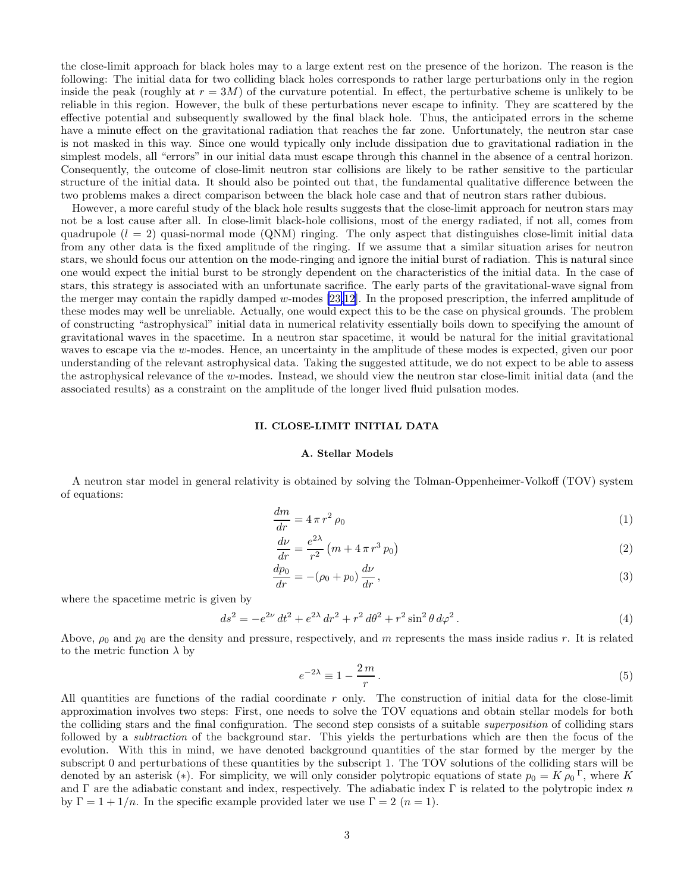<span id="page-3-0"></span>the close-limit approach for black holes may to a large extent rest on the presence of the horizon. The reason is the following: The initial data for two colliding black holes corresponds to rather large perturbations only in the region inside the peak (roughly at  $r = 3M$ ) of the curvature potential. In effect, the perturbative scheme is unlikely to be reliable in this region. However, the bulk of these perturbations never escape to infinity. They are scattered by the effective potential and subsequently swallowed by the final black hole. Thus, the anticipated errors in the scheme have a minute effect on the gravitational radiation that reaches the far zone. Unfortunately, the neutron star case is not masked in this way. Since one would typically only include dissipation due to gravitational radiation in the simplest models, all "errors" in our initial data must escape through this channel in the absence of a central horizon. Consequently, the outcome of close-limit neutron star collisions are likely to be rather sensitive to the particular structure of the initial data. It should also be pointed out that, the fundamental qualitative difference between the two problems makes a direct comparison between the black hole case and that of neutron stars rather dubious.

However, a more careful study of the black hole results suggests that the close-limit approach for neutron stars may not be a lost cause after all. In close-limit black-hole collisions, most of the energy radiated, if not all, comes from quadrupole  $(l = 2)$  quasi-normal mode (QNM) ringing. The only aspect that distinguishes close-limit initial data from any other data is the fixed amplitude of the ringing. If we assume that a similar situation arises for neutron stars, we should focus our attention on the mode-ringing and ignore the initial burst of radiation. This is natural since one would expect the initial burst to be strongly dependent on the characteristics of the initial data. In the case of stars, this strategy is associated with an unfortunate sacrifice. The early parts of the gravitational-wave signal from the merger may contain the rapidly damped w-modes [\[23,](#page-10-0)[12](#page-9-0)]. In the proposed prescription, the inferred amplitude of these modes may well be unreliable. Actually, one would expect this to be the case on physical grounds. The problem of constructing "astrophysical" initial data in numerical relativity essentially boils down to specifying the amount of gravitational waves in the spacetime. In a neutron star spacetime, it would be natural for the initial gravitational waves to escape via the w-modes. Hence, an uncertainty in the amplitude of these modes is expected, given our poor understanding of the relevant astrophysical data. Taking the suggested attitude, we do not expect to be able to assess the astrophysical relevance of the w-modes. Instead, we should view the neutron star close-limit initial data (and the associated results) as a constraint on the amplitude of the longer lived fluid pulsation modes.

#### II. CLOSE-LIMIT INITIAL DATA

#### A. Stellar Models

A neutron star model in general relativity is obtained by solving the Tolman-Oppenheimer-Volkoff (TOV) system of equations:

$$
\frac{dm}{dr} = 4\pi r^2 \rho_0 \tag{1}
$$

$$
\frac{d\nu}{dr} = \frac{e^{2\lambda}}{r^2} \left( m + 4\pi r^3 p_0 \right) \tag{2}
$$

$$
\frac{dp_0}{dr} = -(\rho_0 + p_0) \frac{d\nu}{dr},\tag{3}
$$

where the spacetime metric is given by

$$
ds^{2} = -e^{2\nu} dt^{2} + e^{2\lambda} dr^{2} + r^{2} d\theta^{2} + r^{2} \sin^{2} \theta d\varphi^{2}.
$$
 (4)

Above,  $\rho_0$  and  $p_0$  are the density and pressure, respectively, and m represents the mass inside radius r. It is related to the metric function  $\lambda$  by

$$
e^{-2\lambda} \equiv 1 - \frac{2m}{r} \,. \tag{5}
$$

All quantities are functions of the radial coordinate r only. The construction of initial data for the close-limit approximation involves two steps: First, one needs to solve the TOV equations and obtain stellar models for both the colliding stars and the final configuration. The second step consists of a suitable superposition of colliding stars followed by a subtraction of the background star. This yields the perturbations which are then the focus of the evolution. With this in mind, we have denoted background quantities of the star formed by the merger by the subscript 0 and perturbations of these quantities by the subscript 1. The TOV solutions of the colliding stars will be denoted by an asterisk (\*). For simplicity, we will only consider polytropic equations of state  $p_0 = K \rho_0$ <sup>r</sup>, where K and  $\Gamma$  are the adiabatic constant and index, respectively. The adiabatic index  $\Gamma$  is related to the polytropic index n by  $\Gamma = 1 + 1/n$ . In the specific example provided later we use  $\Gamma = 2$   $(n = 1)$ .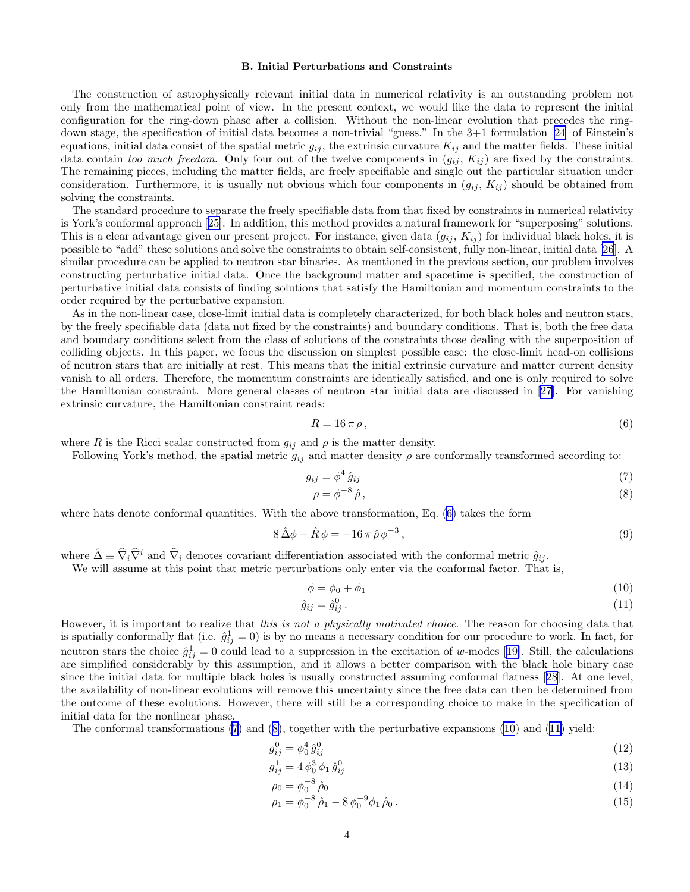#### B. Initial Perturbations and Constraints

The construction of astrophysically relevant initial data in numerical relativity is an outstanding problem not only from the mathematical point of view. In the present context, we would like the data to represent the initial configuration for the ring-down phase after a collision. Without the non-linear evolution that precedes the ringdown stage, the specification of initial data becomes a non-trivial "guess." In the 3+1 formulation [\[24](#page-10-0)] of Einstein's equations, initial data consist of the spatial metric  $g_{ij}$ , the extrinsic curvature  $K_{ij}$  and the matter fields. These initial data contain too much freedom. Only four out of the twelve components in  $(g_{ij}, K_{ij})$  are fixed by the constraints. The remaining pieces, including the matter fields, are freely specifiable and single out the particular situation under consideration. Furthermore, it is usually not obvious which four components in  $(g_{ij}, K_{ij})$  should be obtained from solving the constraints.

The standard procedure to separate the freely specifiable data from that fixed by constraints in numerical relativity is York's conformal approach[[25\]](#page-10-0). In addition, this method provides a natural framework for "superposing" solutions. This is a clear advantage given our present project. For instance, given data  $(g_{ii}, K_{ii})$  for individual black holes, it is possible to "add" these solutions and solve the constraints to obtain self-consistent, fully non-linear, initial data[[26](#page-10-0)]. A similar procedure can be applied to neutron star binaries. As mentioned in the previous section, our problem involves constructing perturbative initial data. Once the background matter and spacetime is specified, the construction of perturbative initial data consists of finding solutions that satisfy the Hamiltonian and momentum constraints to the order required by the perturbative expansion.

As in the non-linear case, close-limit initial data is completely characterized, for both black holes and neutron stars, by the freely specifiable data (data not fixed by the constraints) and boundary conditions. That is, both the free data and boundary conditions select from the class of solutions of the constraints those dealing with the superposition of colliding objects. In this paper, we focus the discussion on simplest possible case: the close-limit head-on collisions of neutron stars that are initially at rest. This means that the initial extrinsic curvature and matter current density vanish to all orders. Therefore, the momentum constraints are identically satisfied, and one is only required to solve the Hamiltonian constraint. More general classes of neutron star initial data are discussed in[[27\]](#page-10-0). For vanishing extrinsic curvature, the Hamiltonian constraint reads:

$$
R = 16 \pi \rho, \tag{6}
$$

where R is the Ricci scalar constructed from  $g_{ij}$  and  $\rho$  is the matter density.

Following York's method, the spatial metric  $g_{ij}$  and matter density  $\rho$  are conformally transformed according to:

$$
g_{ij} = \phi^4 \,\hat{g}_{ij} \tag{7}
$$

$$
\rho = \phi^{-8} \hat{\rho},\tag{8}
$$

where hats denote conformal quantities. With the above transformation, Eq.  $(6)$  takes the form

$$
8\,\hat{\Delta}\phi - \hat{R}\,\phi = -16\,\pi\,\hat{\rho}\,\phi^{-3}\,,\tag{9}
$$

where  $\hat{\Delta} \equiv \hat{\nabla}_i \hat{\nabla}^i$  and  $\hat{\nabla}_i$  denotes covariant differentiation associated with the conformal metric  $\hat{g}_{ij}$ .

We will assume at this point that metric perturbations only enter via the conformal factor. That is,

$$
\phi = \phi_0 + \phi_1 \tag{10}
$$

$$
\hat{g}_{ij} = \hat{g}_{ij}^0 \,. \tag{11}
$$

However, it is important to realize that this is not a physically motivated choice. The reason for choosing data that is spatially conformally flat (i.e.  $\hat{g}_{ij}^1 = 0$ ) is by no means a necessary condition for our procedure to work. In fact, for neutronstars the choice  $\hat{g}_{ij}^1 = 0$  could lead to a suppression in the excitation of w-modes [[19\]](#page-10-0). Still, the calculations are simplified considerably by this assumption, and it allows a better comparison with the black hole binary case since the initial data for multiple black holes is usually constructed assuming conformal flatness[[28\]](#page-10-0). At one level, the availability of non-linear evolutions will remove this uncertainty since the free data can then be determined from the outcome of these evolutions. However, there will still be a corresponding choice to make in the specification of initial data for the nonlinear phase.

The conformal transformations (7) and (8), together with the perturbative expansions (10) and (11) yield:

$$
g_{ij}^0 = \phi_0^4 \,\hat{g}_{ij}^0 \tag{12}
$$

$$
g_{ij}^1 = 4\,\phi_0^3\,\phi_1\,\hat{g}_{ij}^0\tag{13}
$$

$$
\rho_0 = \phi_0^{-8} \hat{\rho}_0 \tag{14}
$$

$$
\rho_1 = \phi_0^{-8} \hat{\rho}_1 - 8 \phi_0^{-9} \phi_1 \hat{\rho}_0. \tag{15}
$$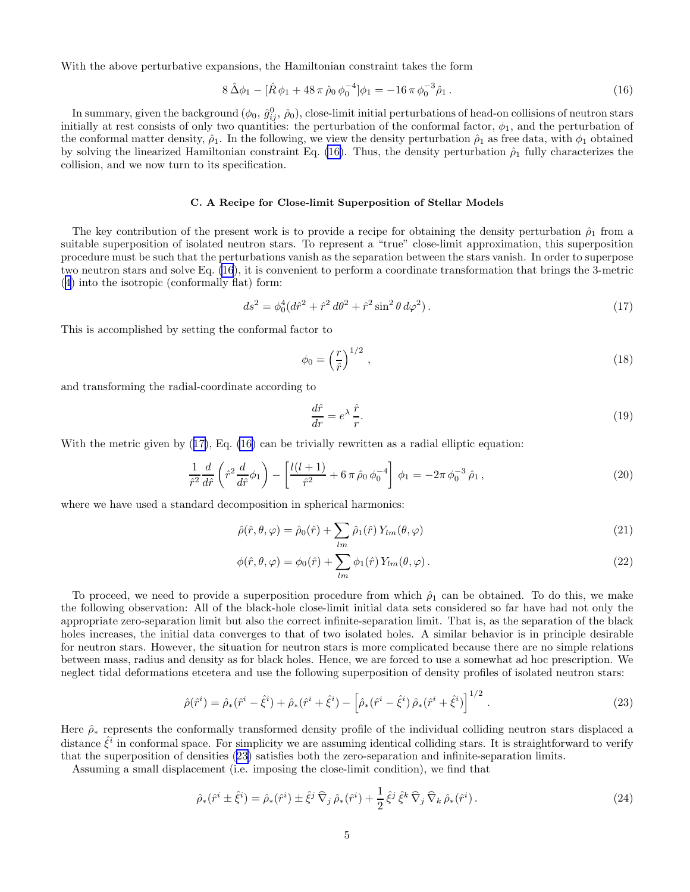<span id="page-5-0"></span>With the above perturbative expansions, the Hamiltonian constraint takes the form

$$
8\,\hat{\Delta}\phi_1 - [\hat{R}\,\phi_1 + 48\,\pi\,\hat{\rho}_0\,\phi_0^{-4}]\phi_1 = -16\,\pi\,\phi_0^{-3}\hat{\rho}_1. \tag{16}
$$

In summary, given the background  $(\phi_0, \hat{g}^0_{ij}, \hat{\rho}_0)$ , close-limit initial perturbations of head-on collisions of neutron stars initially at rest consists of only two quantities: the perturbation of the conformal factor,  $\phi_1$ , and the perturbation of the conformal matter density,  $\hat{\rho}_1$ . In the following, we view the density perturbation  $\hat{\rho}_1$  as free data, with  $\phi_1$  obtained by solving the linearized Hamiltonian constraint Eq. (16). Thus, the density perturbation  $\hat{\rho}_1$  fully characterizes the collision, and we now turn to its specification.

#### C. A Recipe for Close-limit Superposition of Stellar Models

The key contribution of the present work is to provide a recipe for obtaining the density perturbation  $\hat{\rho}_1$  from a suitable superposition of isolated neutron stars. To represent a "true" close-limit approximation, this superposition procedure must be such that the perturbations vanish as the separation between the stars vanish. In order to superpose two neutron stars and solve Eq. (16), it is convenient to perform a coordinate transformation that brings the 3-metric ([4\)](#page-3-0) into the isotropic (conformally flat) form:

$$
ds^{2} = \phi_{0}^{4}(d\hat{r}^{2} + \hat{r}^{2} d\theta^{2} + \hat{r}^{2} \sin^{2} \theta d\varphi^{2}).
$$
\n(17)

This is accomplished by setting the conformal factor to

$$
\phi_0 = \left(\frac{r}{\hat{r}}\right)^{1/2},\tag{18}
$$

and transforming the radial-coordinate according to

$$
\frac{d\hat{r}}{dr} = e^{\lambda} \frac{\hat{r}}{r}.\tag{19}
$$

With the metric given by (17), Eq. (16) can be trivially rewritten as a radial elliptic equation:

$$
\frac{1}{\hat{r}^2} \frac{d}{d\hat{r}} \left(\hat{r}^2 \frac{d}{d\hat{r}} \phi_1\right) - \left[\frac{l(l+1)}{\hat{r}^2} + 6\pi \hat{\rho}_0 \phi_0^{-4}\right] \phi_1 = -2\pi \phi_0^{-3} \hat{\rho}_1,
$$
\n(20)

where we have used a standard decomposition in spherical harmonics:

$$
\hat{\rho}(\hat{r}, \theta, \varphi) = \hat{\rho}_0(\hat{r}) + \sum_{lm} \hat{\rho}_1(\hat{r}) Y_{lm}(\theta, \varphi)
$$
\n(21)

$$
\phi(\hat{r}, \theta, \varphi) = \phi_0(\hat{r}) + \sum_{lm} \phi_1(\hat{r}) Y_{lm}(\theta, \varphi).
$$
\n(22)

To proceed, we need to provide a superposition procedure from which  $\hat{\rho}_1$  can be obtained. To do this, we make the following observation: All of the black-hole close-limit initial data sets considered so far have had not only the appropriate zero-separation limit but also the correct infinite-separation limit. That is, as the separation of the black holes increases, the initial data converges to that of two isolated holes. A similar behavior is in principle desirable for neutron stars. However, the situation for neutron stars is more complicated because there are no simple relations between mass, radius and density as for black holes. Hence, we are forced to use a somewhat ad hoc prescription. We neglect tidal deformations etcetera and use the following superposition of density profiles of isolated neutron stars:

$$
\hat{\rho}(\hat{r}^i) = \hat{\rho}_*(\hat{r}^i - \hat{\xi}^i) + \hat{\rho}_*(\hat{r}^i + \hat{\xi}^i) - \left[\hat{\rho}_*(\hat{r}^i - \hat{\xi}^i)\,\hat{\rho}_*(\hat{r}^i + \hat{\xi}^i)\right]^{1/2}.\tag{23}
$$

Here  $\hat{\rho}_*$  represents the conformally transformed density profile of the individual colliding neutron stars displaced a distance  $\hat{\xi}^i$  in conformal space. For simplicity we are assuming identical colliding stars. It is straightforward to verify that the superposition of densities (23) satisfies both the zero-separation and infinite-separation limits.

Assuming a small displacement (i.e. imposing the close-limit condition), we find that

$$
\hat{\rho}_{*}(\hat{r}^{i} \pm \hat{\xi}^{i}) = \hat{\rho}_{*}(\hat{r}^{i}) \pm \hat{\xi}^{j} \hat{\nabla}_{j} \hat{\rho}_{*}(\hat{r}^{i}) + \frac{1}{2} \hat{\xi}^{j} \hat{\xi}^{k} \hat{\nabla}_{j} \hat{\nabla}_{k} \hat{\rho}_{*}(\hat{r}^{i}).
$$
\n(24)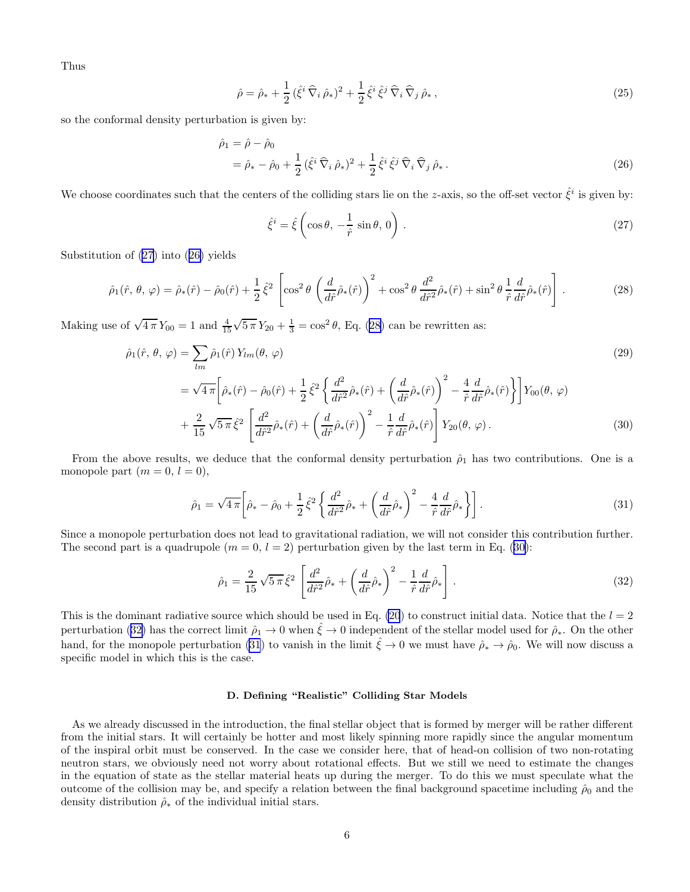Thus

$$
\hat{\rho} = \hat{\rho}_* + \frac{1}{2} (\hat{\xi}^i \,\hat{\nabla}_i \,\hat{\rho}_*)^2 + \frac{1}{2} \,\hat{\xi}^i \,\hat{\xi}^j \,\hat{\nabla}_i \,\hat{\nabla}_j \,\hat{\rho}_*,\tag{25}
$$

so the conformal density perturbation is given by:

$$
\hat{\rho}_1 = \hat{\rho} - \hat{\rho}_0 \n= \hat{\rho}_* - \hat{\rho}_0 + \frac{1}{2} (\hat{\xi}^i \, \hat{\nabla}_i \, \hat{\rho}_*)^2 + \frac{1}{2} \, \hat{\xi}^i \, \hat{\xi}^j \, \hat{\nabla}_i \, \hat{\nabla}_j \, \hat{\rho}_* \,.
$$
\n(26)

We choose coordinates such that the centers of the colliding stars lie on the z-axis, so the off-set vector  $\hat{\xi}^i$  is given by:

$$
\hat{\xi}^i = \hat{\xi} \left( \cos \theta, -\frac{1}{\hat{r}} \sin \theta, 0 \right). \tag{27}
$$

Substitution of (27) into (26) yields

$$
\hat{\rho}_1(\hat{r}, \theta, \varphi) = \hat{\rho}_*(\hat{r}) - \hat{\rho}_0(\hat{r}) + \frac{1}{2}\hat{\xi}^2 \left[\cos^2\theta \left(\frac{d}{d\hat{r}}\hat{\rho}_*(\hat{r})\right)^2 + \cos^2\theta \frac{d^2}{d\hat{r}^2}\hat{\rho}_*(\hat{r}) + \sin^2\theta \frac{1}{\hat{r}}\frac{d}{d\hat{r}}\hat{\rho}_*(\hat{r})\right].
$$
\n(28)

Making use of  $\sqrt{4\pi}Y_{00} = 1$  and  $\frac{4}{15}\sqrt{5\pi}Y_{20} + \frac{1}{3} = \cos^2\theta$ , Eq. (28) can be rewritten as:

$$
\hat{\rho}_{1}(\hat{r}, \theta, \varphi) = \sum_{lm} \hat{\rho}_{1}(\hat{r}) Y_{lm}(\theta, \varphi)
$$
\n
$$
= \sqrt{4} \pi \left[ \hat{\rho}_{*}(\hat{r}) - \hat{\rho}_{0}(\hat{r}) + \frac{1}{2} \hat{\xi}^{2} \left\{ \frac{d^{2}}{d\hat{r}^{2}} \hat{\rho}_{*}(\hat{r}) + \left( \frac{d}{d\hat{r}} \hat{\rho}_{*}(\hat{r}) \right)^{2} - \frac{4}{\hat{r}} \frac{d}{d\hat{r}} \hat{\rho}_{*}(\hat{r}) \right\} \right] Y_{00}(\theta, \varphi)
$$
\n
$$
+ \frac{2}{15} \sqrt{5} \pi \hat{\xi}^{2} \left[ \frac{d^{2}}{d\hat{r}^{2}} \hat{\rho}_{*}(\hat{r}) + \left( \frac{d}{d\hat{r}} \hat{\rho}_{*}(\hat{r}) \right)^{2} - \frac{1}{\hat{r}} \frac{d}{d\hat{r}} \hat{\rho}_{*}(\hat{r}) \right] Y_{20}(\theta, \varphi).
$$
\n(30)

From the above results, we deduce that the conformal density perturbation  $\hat{\rho}_1$  has two contributions. One is a monopole part  $(m = 0, l = 0)$ ,

$$
\hat{\rho}_1 = \sqrt{4\pi} \left[ \hat{\rho}_* - \hat{\rho}_0 + \frac{1}{2} \hat{\xi}^2 \left\{ \frac{d^2}{d\hat{r}^2} \hat{\rho}_* + \left( \frac{d}{d\hat{r}} \hat{\rho}_* \right)^2 - \frac{4}{\hat{r}} \frac{d}{d\hat{r}} \hat{\rho}_* \right\} \right].
$$
\n(31)

Since a monopole perturbation does not lead to gravitational radiation, we will not consider this contribution further. The second part is a quadrupole  $(m = 0, l = 2)$  perturbation given by the last term in Eq. (30):

$$
\hat{\rho}_1 = \frac{2}{15} \sqrt{5 \pi} \hat{\xi}^2 \left[ \frac{d^2}{d\hat{r}^2} \hat{\rho}_* + \left( \frac{d}{d\hat{r}} \hat{\rho}_* \right)^2 - \frac{1}{\hat{r}} \frac{d}{d\hat{r}} \hat{\rho}_* \right].
$$
\n(32)

This is the dominant radiative source which should be used in Eq. [\(20](#page-5-0)) to construct initial data. Notice that the  $l = 2$ perturbation (32) has the correct limit  $\hat{\rho}_1 \to 0$  when  $\hat{\xi} \to 0$  independent of the stellar model used for  $\hat{\rho}_*$ . On the other hand, for the monopole perturbation (31) to vanish in the limit  $\hat{\xi} \to 0$  we must have  $\hat{\rho}_* \to \hat{\rho}_0$ . We will now discuss a specific model in which this is the case.

#### D. Defining "Realistic" Colliding Star Models

As we already discussed in the introduction, the final stellar object that is formed by merger will be rather different from the initial stars. It will certainly be hotter and most likely spinning more rapidly since the angular momentum of the inspiral orbit must be conserved. In the case we consider here, that of head-on collision of two non-rotating neutron stars, we obviously need not worry about rotational effects. But we still we need to estimate the changes in the equation of state as the stellar material heats up during the merger. To do this we must speculate what the outcome of the collision may be, and specify a relation between the final background spacetime including  $\hat{\rho}_0$  and the density distribution  $\hat{\rho}_{*}$  of the individual initial stars.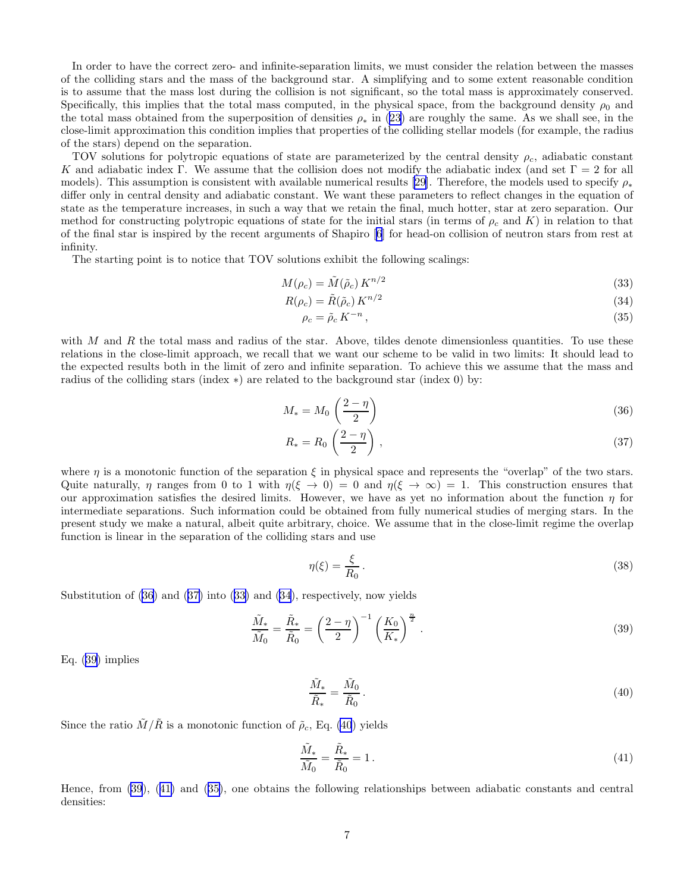<span id="page-7-0"></span>In order to have the correct zero- and infinite-separation limits, we must consider the relation between the masses of the colliding stars and the mass of the background star. A simplifying and to some extent reasonable condition is to assume that the mass lost during the collision is not significant, so the total mass is approximately conserved. Specifically, this implies that the total mass computed, in the physical space, from the background density  $\rho_0$  and thetotal mass obtained from the superposition of densities  $\rho_*$  in ([23\)](#page-5-0) are roughly the same. As we shall see, in the close-limit approximation this condition implies that properties of the colliding stellar models (for example, the radius of the stars) depend on the separation.

TOV solutions for polytropic equations of state are parameterized by the central density  $\rho_c$ , adiabatic constant K and adiabatic index Γ. We assume that the collision does not modify the adiabatic index (and set  $\Gamma = 2$  for all models). This assumption is consistent with available numerical results [\[29](#page-10-0)]. Therefore, the models used to specify  $\rho_*$ differ only in central density and adiabatic constant. We want these parameters to reflect changes in the equation of state as the temperature increases, in such a way that we retain the final, much hotter, star at zero separation. Our method for constructing polytropic equations of state for the initial stars (in terms of  $\rho_c$  and K) in relation to that of the final star is inspired by the recent arguments of Shapiro [\[6](#page-9-0)] for head-on collision of neutron stars from rest at infinity.

The starting point is to notice that TOV solutions exhibit the following scalings:

$$
M(\rho_c) = \tilde{M}(\tilde{\rho}_c) K^{n/2}
$$
\n(33)

$$
R(\rho_c) = \tilde{R}(\tilde{\rho}_c) K^{n/2}
$$
\n(34)

$$
\rho_c = \tilde{\rho}_c K^{-n},\tag{35}
$$

with  $M$  and  $R$  the total mass and radius of the star. Above, tildes denote dimensionless quantities. To use these relations in the close-limit approach, we recall that we want our scheme to be valid in two limits: It should lead to the expected results both in the limit of zero and infinite separation. To achieve this we assume that the mass and radius of the colliding stars (index ∗) are related to the background star (index 0) by:

$$
M_* = M_0 \left(\frac{2-\eta}{2}\right) \tag{36}
$$

$$
R_* = R_0 \left(\frac{2-\eta}{2}\right),\tag{37}
$$

where  $\eta$  is a monotonic function of the separation  $\xi$  in physical space and represents the "overlap" of the two stars. Quite naturally,  $\eta$  ranges from 0 to 1 with  $\eta(\xi \to 0) = 0$  and  $\eta(\xi \to \infty) = 1$ . This construction ensures that our approximation satisfies the desired limits. However, we have as yet no information about the function  $\eta$  for intermediate separations. Such information could be obtained from fully numerical studies of merging stars. In the present study we make a natural, albeit quite arbitrary, choice. We assume that in the close-limit regime the overlap function is linear in the separation of the colliding stars and use

$$
\eta(\xi) = \frac{\xi}{R_0} \,. \tag{38}
$$

Substitution of (36) and (37) into (33) and (34), respectively, now yields

$$
\frac{\tilde{M}_*}{\tilde{M}_0} = \frac{\tilde{R}_*}{\tilde{R}_0} = \left(\frac{2-\eta}{2}\right)^{-1} \left(\frac{K_0}{K_*}\right)^{\frac{n}{2}}.
$$
\n(39)

Eq. (39) implies

$$
\frac{\tilde{M}_*}{\tilde{R}_*} = \frac{\tilde{M}_0}{\tilde{R}_0} \,. \tag{40}
$$

Since the ratio  $\tilde{M}/\tilde{R}$  is a monotonic function of  $\tilde{\rho}_c$ , Eq. (40) yields

$$
\frac{\tilde{M}_*}{\tilde{M}_0} = \frac{\tilde{R}_*}{\tilde{R}_0} = 1.
$$
\n
$$
(41)
$$

Hence, from (39), (41) and (35), one obtains the following relationships between adiabatic constants and central densities: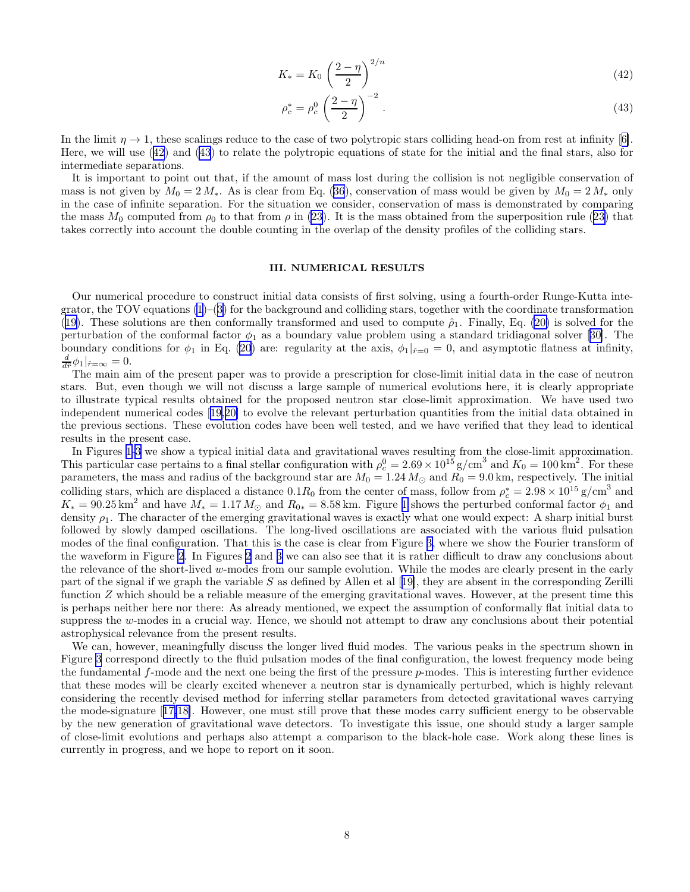$$
K_* = K_0 \left(\frac{2-\eta}{2}\right)^{2/n} \tag{42}
$$

$$
\rho_c^* = \rho_c^0 \left(\frac{2-\eta}{2}\right)^{-2}.\tag{43}
$$

Inthe limit  $\eta \to 1$ , these scalings reduce to the case of two polytropic stars colliding head-on from rest at infinity [[6\]](#page-9-0). Here, we will use (42) and (43) to relate the polytropic equations of state for the initial and the final stars, also for intermediate separations.

It is important to point out that, if the amount of mass lost during the collision is not negligible conservation of mass is not given by  $M_0 = 2 M_*$ . As is clear from Eq. [\(36](#page-7-0)), conservation of mass would be given by  $M_0 = 2 M_*$  only in the case of infinite separation. For the situation we consider, conservation of mass is demonstrated by comparing themass  $M_0$  computed from  $\rho_0$  to that from  $\rho$  in [\(23](#page-5-0)). It is the mass obtained from the superposition rule ([23\)](#page-5-0) that takes correctly into account the double counting in the overlap of the density profiles of the colliding stars.

#### III. NUMERICAL RESULTS

Our numerical procedure to construct initial data consists of first solving, using a fourth-order Runge-Kutta integrator, the TOV equations  $(1)-(3)$  $(1)-(3)$  for the background and colliding stars, together with the coordinate transformation ([19\)](#page-5-0). These solutions are then conformally transformed and used to compute  $\hat{\rho}_1$ . Finally, Eq. [\(20\)](#page-5-0) is solved for the perturbationof the conformal factor  $\phi_1$  as a boundary value problem using a standard tridiagonal solver [[30\]](#page-10-0). The boundary conditions for  $\phi_1$  in Eq. [\(20](#page-5-0)) are: regularity at the axis,  $\phi_1|_{\hat{r}=0} = 0$ , and asymptotic flatness at infinity,  $\frac{d}{d\hat{r}}\phi_1|_{\hat{r}=\infty}=0.$ 

The main aim of the present paper was to provide a prescription for close-limit initial data in the case of neutron stars. But, even though we will not discuss a large sample of numerical evolutions here, it is clearly appropriate to illustrate typical results obtained for the proposed neutron star close-limit approximation. We have used two independent numerical codes[[19,20\]](#page-10-0) to evolve the relevant perturbation quantities from the initial data obtained in the previous sections. These evolution codes have been well tested, and we have verified that they lead to identical results in the present case.

In Figures [1](#page-11-0)[-3](#page-13-0) we show a typical initial data and gravitational waves resulting from the close-limit approximation. This particular case pertains to a final stellar configuration with  $\rho_c^0 = 2.69 \times 10^{15}$  g/cm<sup>3</sup> and  $K_0 = 100$  km<sup>2</sup>. For these parameters, the mass and radius of the background star are  $M_0 = 1.24 M_{\odot}$  and  $R_0 = 9.0$  km, respectively. The initial colliding stars, which are displaced a distance  $0.1R_0$  from the center of mass, follow from  $\rho_c^* = 2.98 \times 10^{15}$  g/cm<sup>3</sup> and  $K_* = 90.25 \text{ km}^2$  and have  $M_* = 1.17 M_{\odot}$  $M_* = 1.17 M_{\odot}$  $M_* = 1.17 M_{\odot}$  and  $R_{0*} = 8.58 \text{ km}$ . Figure 1 shows the perturbed conformal factor  $\phi_1$  and density  $\rho_1$ . The character of the emerging gravitational waves is exactly what one would expect: A sharp initial burst followed by slowly damped oscillations. The long-lived oscillations are associated with the various fluid pulsation modes of the final configuration. That this is the case is clear from Figure [3,](#page-13-0) where we show the Fourier transform of the waveform in Figure [2](#page-12-0). In Figures [2](#page-12-0) and [3](#page-13-0) we can also see that it is rather difficult to draw any conclusions about the relevance of the short-lived  $w$ -modes from our sample evolution. While the modes are clearly present in the early part of the signal if we graph the variable S as defined by Allen et al[[19\]](#page-10-0), they are absent in the corresponding Zerilli function Z which should be a reliable measure of the emerging gravitational waves. However, at the present time this is perhaps neither here nor there: As already mentioned, we expect the assumption of conformally flat initial data to suppress the w-modes in a crucial way. Hence, we should not attempt to draw any conclusions about their potential astrophysical relevance from the present results.

We can, however, meaningfully discuss the longer lived fluid modes. The various peaks in the spectrum shown in Figure [3](#page-13-0) correspond directly to the fluid pulsation modes of the final configuration, the lowest frequency mode being the fundamental  $f$ -mode and the next one being the first of the pressure  $p$ -modes. This is interesting further evidence that these modes will be clearly excited whenever a neutron star is dynamically perturbed, which is highly relevant considering the recently devised method for inferring stellar parameters from detected gravitational waves carrying the mode-signature[[17](#page-9-0)[,18\]](#page-10-0). However, one must still prove that these modes carry sufficient energy to be observable by the new generation of gravitational wave detectors. To investigate this issue, one should study a larger sample of close-limit evolutions and perhaps also attempt a comparison to the black-hole case. Work along these lines is currently in progress, and we hope to report on it soon.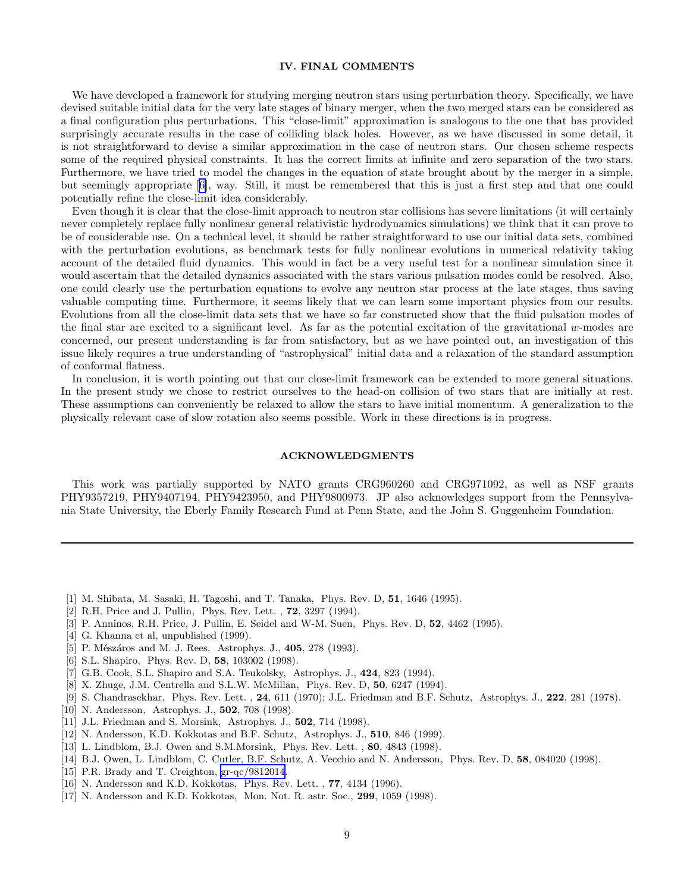### IV. FINAL COMMENTS

<span id="page-9-0"></span>We have developed a framework for studying merging neutron stars using perturbation theory. Specifically, we have devised suitable initial data for the very late stages of binary merger, when the two merged stars can be considered as a final configuration plus perturbations. This "close-limit" approximation is analogous to the one that has provided surprisingly accurate results in the case of colliding black holes. However, as we have discussed in some detail, it is not straightforward to devise a similar approximation in the case of neutron stars. Our chosen scheme respects some of the required physical constraints. It has the correct limits at infinite and zero separation of the two stars. Furthermore, we have tried to model the changes in the equation of state brought about by the merger in a simple, but seemingly appropriate [6], way. Still, it must be remembered that this is just a first step and that one could potentially refine the close-limit idea considerably.

Even though it is clear that the close-limit approach to neutron star collisions has severe limitations (it will certainly never completely replace fully nonlinear general relativistic hydrodynamics simulations) we think that it can prove to be of considerable use. On a technical level, it should be rather straightforward to use our initial data sets, combined with the perturbation evolutions, as benchmark tests for fully nonlinear evolutions in numerical relativity taking account of the detailed fluid dynamics. This would in fact be a very useful test for a nonlinear simulation since it would ascertain that the detailed dynamics associated with the stars various pulsation modes could be resolved. Also, one could clearly use the perturbation equations to evolve any neutron star process at the late stages, thus saving valuable computing time. Furthermore, it seems likely that we can learn some important physics from our results. Evolutions from all the close-limit data sets that we have so far constructed show that the fluid pulsation modes of the final star are excited to a significant level. As far as the potential excitation of the gravitational w-modes are concerned, our present understanding is far from satisfactory, but as we have pointed out, an investigation of this issue likely requires a true understanding of "astrophysical" initial data and a relaxation of the standard assumption of conformal flatness.

In conclusion, it is worth pointing out that our close-limit framework can be extended to more general situations. In the present study we chose to restrict ourselves to the head-on collision of two stars that are initially at rest. These assumptions can conveniently be relaxed to allow the stars to have initial momentum. A generalization to the physically relevant case of slow rotation also seems possible. Work in these directions is in progress.

#### ACKNOWLEDGMENTS

This work was partially supported by NATO grants CRG960260 and CRG971092, as well as NSF grants PHY9357219, PHY9407194, PHY9423950, and PHY9800973. JP also acknowledges support from the Pennsylvania State University, the Eberly Family Research Fund at Penn State, and the John S. Guggenheim Foundation.

- [1] M. Shibata, M. Sasaki, H. Tagoshi, and T. Tanaka, Phys. Rev. D, 51, 1646 (1995).
- [2] R.H. Price and J. Pullin, Phys. Rev. Lett. , 72, 3297 (1994).
- [3] P. Anninos, R.H. Price, J. Pullin, E. Seidel and W-M. Suen, Phys. Rev. D, 52, 4462 (1995).
- [4] G. Khanna et al, unpublished (1999).
- [5] P. Mészáros and M. J. Rees, Astrophys. J., 405, 278 (1993).
- [6] S.L. Shapiro, Phys. Rev. D, 58, 103002 (1998).
- [7] G.B. Cook, S.L. Shapiro and S.A. Teukolsky, Astrophys. J., 424, 823 (1994).
- [8] X. Zhuge, J.M. Centrella and S.L.W. McMillan, Phys. Rev. D, 50, 6247 (1994).
- [9] S. Chandrasekhar, Phys. Rev. Lett. , 24, 611 (1970); J.L. Friedman and B.F. Schutz, Astrophys. J., 222, 281 (1978).
- [10] N. Andersson, Astrophys. J., **502**, 708 (1998).
- [11] J.L. Friedman and S. Morsink, Astrophys. J., **502**, 714 (1998).
- [12] N. Andersson, K.D. Kokkotas and B.F. Schutz, Astrophys. J., 510, 846 (1999).
- [13] L. Lindblom, B.J. Owen and S.M.Morsink, Phys. Rev. Lett. , 80, 4843 (1998).
- [14] B.J. Owen, L. Lindblom, C. Cutler, B.F. Schutz, A. Vecchio and N. Andersson, Phys. Rev. D, 58, 084020 (1998).
- [15] P.R. Brady and T. Creighton, [gr-qc/9812014.](http://arxiv.org/abs/gr-qc/9812014)
- [16] N. Andersson and K.D. Kokkotas, Phys. Rev. Lett. , 77, 4134 (1996).
- [17] N. Andersson and K.D. Kokkotas, Mon. Not. R. astr. Soc., 299, 1059 (1998).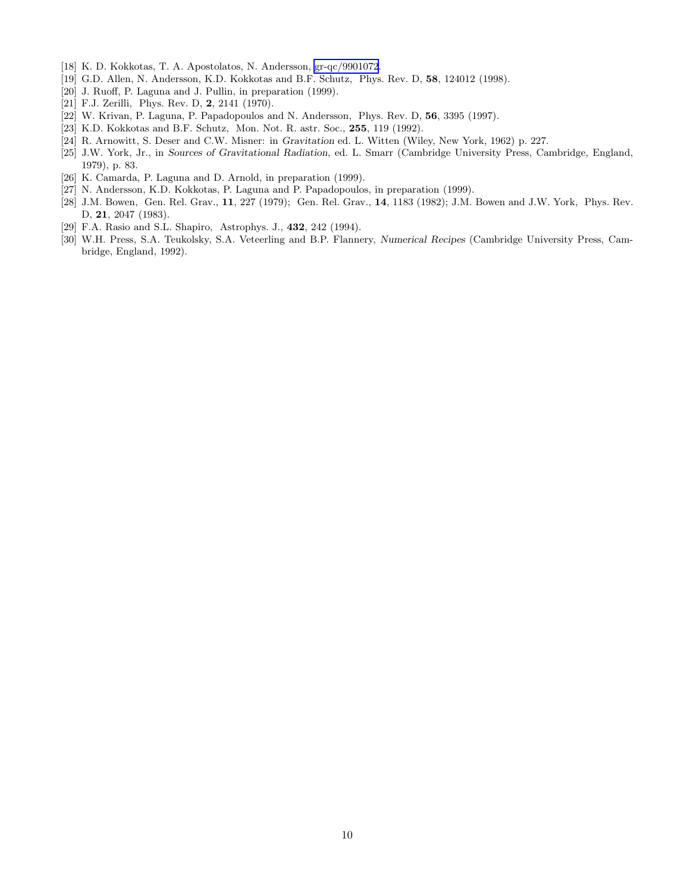- <span id="page-10-0"></span>[18] K. D. Kokkotas, T. A. Apostolatos, N. Andersson, [gr-qc/9901072](http://arxiv.org/abs/gr-qc/9901072).
- [19] G.D. Allen, N. Andersson, K.D. Kokkotas and B.F. Schutz, Phys. Rev. D, 58, 124012 (1998).
- [20] J. Ruoff, P. Laguna and J. Pullin, in preparation (1999).
- [21] F.J. Zerilli, Phys. Rev. D, 2, 2141 (1970).
- [22] W. Krivan, P. Laguna, P. Papadopoulos and N. Andersson, Phys. Rev. D, 56, 3395 (1997).
- [23] K.D. Kokkotas and B.F. Schutz, Mon. Not. R. astr. Soc., 255, 119 (1992).
- [24] R. Arnowitt, S. Deser and C.W. Misner: in Gravitation ed. L. Witten (Wiley, New York, 1962) p. 227.
- [25] J.W. York, Jr., in Sources of Gravitational Radiation, ed. L. Smarr (Cambridge University Press, Cambridge, England, 1979), p. 83.
- [26] K. Camarda, P. Laguna and D. Arnold, in preparation (1999).
- [27] N. Andersson, K.D. Kokkotas, P. Laguna and P. Papadopoulos, in preparation (1999).
- [28] J.M. Bowen, Gen. Rel. Grav., 11, 227 (1979); Gen. Rel. Grav., 14, 1183 (1982); J.M. Bowen and J.W. York, Phys. Rev. D, 21, 2047 (1983).
- [29] F.A. Rasio and S.L. Shapiro, Astrophys. J., 432, 242 (1994).
- [30] W.H. Press, S.A. Teukolsky, S.A. Veteerling and B.P. Flannery, Numerical Recipes (Cambridge University Press, Cambridge, England, 1992).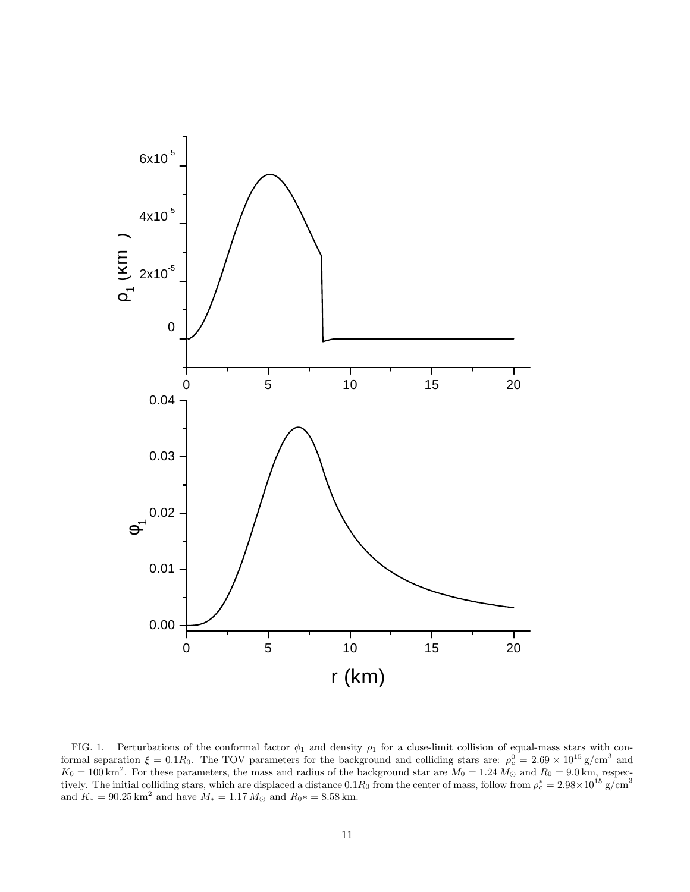<span id="page-11-0"></span>

FIG. 1. Perturbations of the conformal factor  $\phi_1$  and density  $\rho_1$  for a close-limit collision of equal-mass stars with conformal separation  $\xi = 0.1R_0$ . The TOV parameters for the background and colliding stars are:  $\rho_c^0 = 2.69 \times 10^{15}$  g/cm<sup>3</sup> and  $K_0 = 100 \text{ km}^2$ . For these parameters, the mass and radius of the background star are  $M_0 = 1.24 M_{\odot}$  and  $R_0 = 9.0 \text{ km}$ , respectively. The initial colliding stars, which are displaced a distance  $0.1R_0$  from the center of mass, follow from  $\rho_c^* = 2.98 \times 10^{15}$  g/cm<sup>3</sup> and  $K_* = 90.25 \text{ km}^2$  and have  $M_* = 1.17 M_{\odot}$  and  $R_0* = 8.58 \text{ km}$ .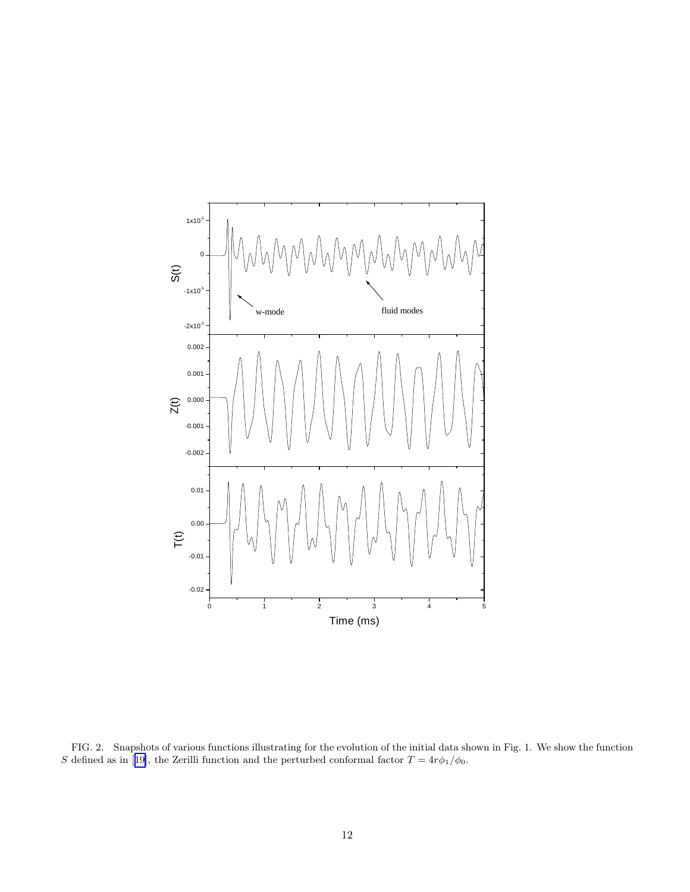<span id="page-12-0"></span>

FIG. 2. Snapshots of various functions illustrating for the evolution of the initial data shown in Fig. 1. We show the function  $S$ defined as in [[19\]](#page-10-0), the Zerilli function and the perturbed conformal factor  $T=4r\phi_1/\phi_0.$